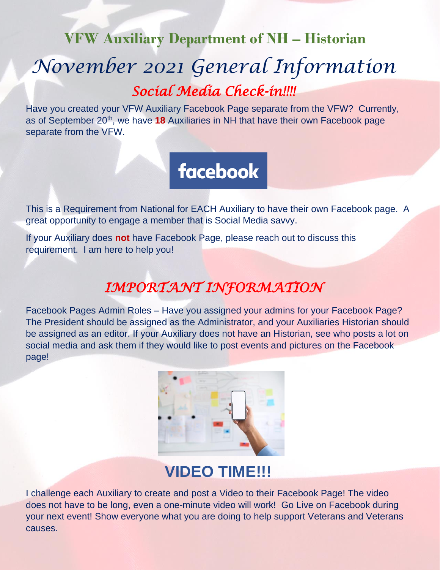## **VFW Auxiliary Department of NH – Historian**

# *November 2021 General Information Social Media Check-in!!!!*

Have you created your VFW Auxiliary Facebook Page separate from the VFW? Currently, as of September 20<sup>th</sup>, we have 18 Auxiliaries in NH that have their own Facebook page separate from the VFW.

# **facebook**

This is a Requirement from National for EACH Auxiliary to have their own Facebook page. A great opportunity to engage a member that is Social Media savvy.

If your Auxiliary does **not** have Facebook Page, please reach out to discuss this requirement. I am here to help you!

## *IMPORTANT INFORMATION*

Facebook Pages Admin Roles – Have you assigned your admins for your Facebook Page? The President should be assigned as the Administrator, and your Auxiliaries Historian should be assigned as an editor. If your Auxiliary does not have an Historian, see who posts a lot on social media and ask them if they would like to post events and pictures on the Facebook page!



# **VIDEO TIME!!!**

I challenge each Auxiliary to create and post a Video to their Facebook Page! The video does not have to be long, even a one-minute video will work! Go Live on Facebook during your next event! Show everyone what you are doing to help support Veterans and Veterans causes.